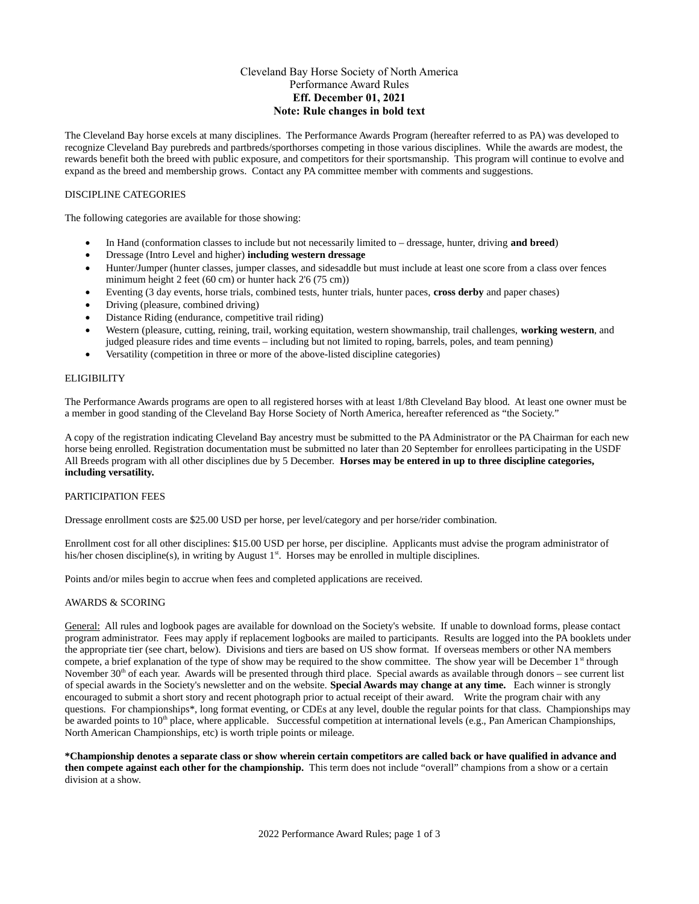# Cleveland Bay Horse Society of North America Performance Award Rules **Eff. December 01, 2021 Note: Rule changes in bold text**

The Cleveland Bay horse excels at many disciplines. The Performance Awards Program (hereafter referred to as PA) was developed to recognize Cleveland Bay purebreds and partbreds/sporthorses competing in those various disciplines. While the awards are modest, the rewards benefit both the breed with public exposure, and competitors for their sportsmanship. This program will continue to evolve and expand as the breed and membership grows. Contact any PA committee member with comments and suggestions.

# DISCIPLINE CATEGORIES

The following categories are available for those showing:

- In Hand (conformation classes to include but not necessarily limited to dressage, hunter, driving **and breed**)
- Dressage (Intro Level and higher) **including western dressage**
- Hunter/Jumper (hunter classes, jumper classes, and sidesaddle but must include at least one score from a class over fences minimum height 2 feet (60 cm) or hunter hack 2'6 (75 cm))
- Eventing (3 day events, horse trials, combined tests, hunter trials, hunter paces, **cross derby** and paper chases)
- Driving (pleasure, combined driving)
- Distance Riding (endurance, competitive trail riding)
- Western (pleasure, cutting, reining, trail, working equitation, western showmanship, trail challenges, **working western**, and judged pleasure rides and time events – including but not limited to roping, barrels, poles, and team penning)
- Versatility (competition in three or more of the above-listed discipline categories)

## **ELIGIBILITY**

The Performance Awards programs are open to all registered horses with at least 1/8th Cleveland Bay blood. At least one owner must be a member in good standing of the Cleveland Bay Horse Society of North America, hereafter referenced as "the Society."

A copy of the registration indicating Cleveland Bay ancestry must be submitted to the PA Administrator or the PA Chairman for each new horse being enrolled. Registration documentation must be submitted no later than 20 September for enrollees participating in the USDF All Breeds program with all other disciplines due by 5 December. **Horses may be entered in up to three discipline categories, including versatility.** 

# PARTICIPATION FEES

Dressage enrollment costs are \$25.00 USD per horse, per level/category and per horse/rider combination.

Enrollment cost for all other disciplines: \$15.00 USD per horse, per discipline. Applicants must advise the program administrator of his/her chosen discipline(s), in writing by August  $1<sup>st</sup>$ . Horses may be enrolled in multiple disciplines.

Points and/or miles begin to accrue when fees and completed applications are received.

## AWARDS & SCORING

General: All rules and logbook pages are available for download on the Society's website. If unable to download forms, please contact program administrator. Fees may apply if replacement logbooks are mailed to participants. Results are logged into the PA booklets under the appropriate tier (see chart, below). Divisions and tiers are based on US show format. If overseas members or other NA members compete, a brief explanation of the type of show may be required to the show committee. The show year will be December  $1<sup>st</sup>$  through November  $30<sup>th</sup>$  of each year. Awards will be presented through third place. Special awards as available through donors – see current list of special awards in the Society's newsletter and on the website. **Special Awards may change at any time.** Each winner is strongly encouraged to submit a short story and recent photograph prior to actual receipt of their award. Write the program chair with any questions. For championships\*, long format eventing, or CDEs at any level, double the regular points for that class. Championships may be awarded points to  $10<sup>th</sup>$  place, where applicable. Successful competition at international levels (e.g., Pan American Championships, North American Championships, etc) is worth triple points or mileage.

**\*Championship denotes a separate class or show wherein certain competitors are called back or have qualified in advance and then compete against each other for the championship.** This term does not include "overall" champions from a show or a certain division at a show.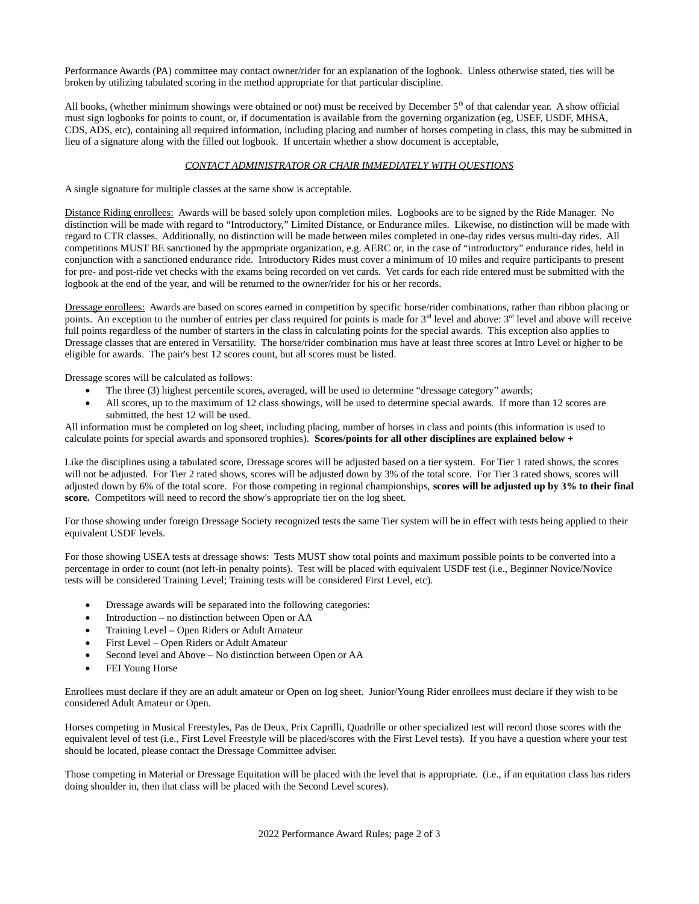Performance Awards (PA) committee may contact owner/rider for an explanation of the logbook. Unless otherwise stated, ties will be broken by utilizing tabulated scoring in the method appropriate for that particular discipline.

All books, (whether minimum showings were obtained or not) must be received by December  $5<sup>th</sup>$  of that calendar year. A show official must sign logbooks for points to count, or, if documentation is available from the governing organization (eg, USEF, USDF, MHSA, CDS, ADS, etc), containing all required information, including placing and number of horses competing in class, this may be submitted in lieu of a signature along with the filled out logbook. If uncertain whether a show document is acceptable,

# *CONTACT ADMINISTRATOR OR CHAIR IMMEDIATELY WITH QUESTIONS*

A single signature for multiple classes at the same show is acceptable.

Distance Riding enrollees: Awards will be based solely upon completion miles. Logbooks are to be signed by the Ride Manager. No distinction will be made with regard to "Introductory," Limited Distance, or Endurance miles. Likewise, no distinction will be made with regard to CTR classes. Additionally, no distinction will be made between miles completed in one-day rides versus multi-day rides. All competitions MUST BE sanctioned by the appropriate organization, e.g. AERC or, in the case of "introductory" endurance rides, held in conjunction with a sanctioned endurance ride. Introductory Rides must cover a minimum of 10 miles and require participants to present for pre- and post-ride vet checks with the exams being recorded on vet cards. Vet cards for each ride entered must be submitted with the logbook at the end of the year, and will be returned to the owner/rider for his or her records.

Dressage enrollees: Awards are based on scores earned in competition by specific horse/rider combinations, rather than ribbon placing or points. An exception to the number of entries per class required for points is made for  $3<sup>rd</sup>$  level and above  $3<sup>rd</sup>$  level and above will receive full points regardless of the number of starters in the class in calculating points for the special awards. This exception also applies to Dressage classes that are entered in Versatility. The horse/rider combination mus have at least three scores at Intro Level or higher to be eligible for awards. The pair's best 12 scores count, but all scores must be listed.

Dressage scores will be calculated as follows:

- The three (3) highest percentile scores, averaged, will be used to determine "dressage category" awards;
- All scores, up to the maximum of 12 class showings, will be used to determine special awards. If more than 12 scores are submitted, the best 12 will be used.

All information must be completed on log sheet, including placing, number of horses in class and points (this information is used to calculate points for special awards and sponsored trophies). **Scores/points for all other disciplines are explained below +**

Like the disciplines using a tabulated score, Dressage scores will be adjusted based on a tier system. For Tier 1 rated shows, the scores will not be adjusted. For Tier 2 rated shows, scores will be adjusted down by 3% of the total score. For Tier 3 rated shows, scores will adjusted down by 6% of the total score. For those competing in regional championships, **scores will be adjusted up by 3% to their final score.** Competitors will need to record the show's appropriate tier on the log sheet.

For those showing under foreign Dressage Society recognized tests the same Tier system will be in effect with tests being applied to their equivalent USDF levels.

For those showing USEA tests at dressage shows: Tests MUST show total points and maximum possible points to be converted into a percentage in order to count (not left-in penalty points). Test will be placed with equivalent USDF test (i.e., Beginner Novice/Novice tests will be considered Training Level; Training tests will be considered First Level, etc).

- Dressage awards will be separated into the following categories:
- Introduction no distinction between Open or AA
- Training Level Open Riders or Adult Amateur
- First Level Open Riders or Adult Amateur
- Second level and Above No distinction between Open or AA
- FEI Young Horse

Enrollees must declare if they are an adult amateur or Open on log sheet. Junior/Young Rider enrollees must declare if they wish to be considered Adult Amateur or Open.

Horses competing in Musical Freestyles, Pas de Deux, Prix Caprilli, Quadrille or other specialized test will record those scores with the equivalent level of test (i.e., First Level Freestyle will be placed/scores with the First Level tests). If you have a question where your test should be located, please contact the Dressage Committee adviser.

Those competing in Material or Dressage Equitation will be placed with the level that is appropriate. (i.e., if an equitation class has riders doing shoulder in, then that class will be placed with the Second Level scores).